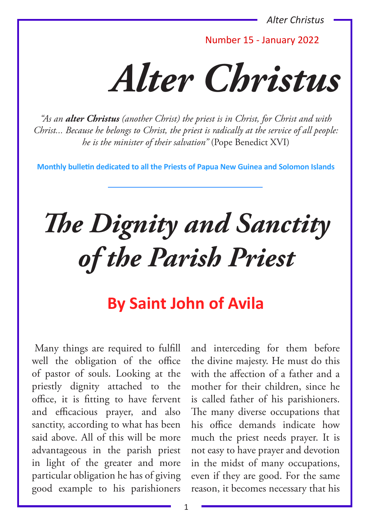*Alter Christus*

Number 15 - January 2022

*Alter Christus*

*"As an alter Christus (another Christ) the priest is in Christ, for Christ and with Christ... Because he belongs to Christ, the priest is radically at the service of all people: he is the minister of their salvation"* (Pope Benedict XVI)

**Monthly bulletin dedicated to all the Priests of Papua New Guinea and Solomon Islands**

# *The Dignity and Sanctity of the Parish Priest*

# **By Saint John of Avila**

Many things are required to fulfill well the obligation of the office of pastor of souls. Looking at the priestly dignity attached to the office, it is fitting to have fervent and efficacious prayer, and also sanctity, according to what has been said above. All of this will be more advantageous in the parish priest in light of the greater and more particular obligation he has of giving good example to his parishioners

and interceding for them before the divine majesty. He must do this with the affection of a father and a mother for their children, since he is called father of his parishioners. The many diverse occupations that his office demands indicate how much the priest needs prayer. It is not easy to have prayer and devotion in the midst of many occupations, even if they are good. For the same reason, it becomes necessary that his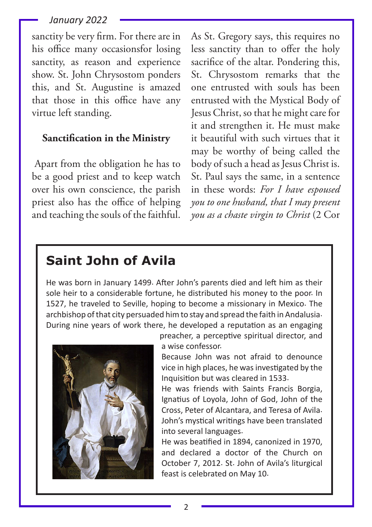sanctity be very firm. For there are in his office many occasionsfor losing sanctity, as reason and experience show. St. John Chrysostom ponders this, and St. Augustine is amazed that those in this office have any virtue left standing.

### **Sanctification in the Ministry**

Apart from the obligation he has to be a good priest and to keep watch over his own conscience, the parish priest also has the office of helping and teaching the souls of the faithful.

As St. Gregory says, this requires no less sanctity than to offer the holy sacrifice of the altar. Pondering this, St. Chrysostom remarks that the one entrusted with souls has been entrusted with the Mystical Body of Jesus Christ, so that he might care for it and strengthen it. He must make it beautiful with such virtues that it may be worthy of being called the body of such a head as Jesus Christ is. St. Paul says the same, in a sentence in these words: *For I have espoused you to one husband, that I may present you as a chaste virgin to Christ* (2 Cor

# **Saint John of Avila**

He was born in January 1499. After John's parents died and left him as their sole heir to a considerable fortune, he distributed his money to the poor. In 1527, he traveled to Seville, hoping to become a missionary in Mexico. The archbishop of that city persuaded him to stay and spread the faith in Andalusia. During nine years of work there, he developed a reputation as an engaging



preacher, a perceptive spiritual director, and a wise confessor.

Because John was not afraid to denounce vice in high places, he was investigated by the Inquisition but was cleared in 1533.

He was friends with Saints Francis Borgia, Ignatius of Loyola, John of God, John of the Cross, Peter of Alcantara, and Teresa of Avila. John's mystical writings have been translated into several languages.

He was beatified in 1894, canonized in 1970, and declared a doctor of the Church on October 7, 2012. St. John of Avila's liturgical feast is celebrated on May 10.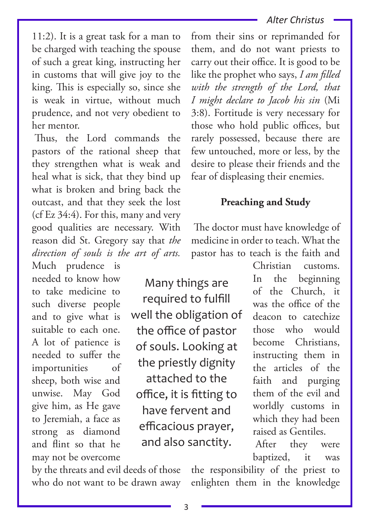#### *Alter Christus*

11:2). It is a great task for a man to be charged with teaching the spouse of such a great king, instructing her in customs that will give joy to the king. This is especially so, since she is weak in virtue, without much prudence, and not very obedient to her mentor.

Thus, the Lord commands the pastors of the rational sheep that they strengthen what is weak and heal what is sick, that they bind up what is broken and bring back the outcast, and that they seek the lost (cf Ez 34:4). For this, many and very good qualities are necessary. With reason did St. Gregory say that *the direction of souls is the art of arts.* 

Much prudence is needed to know how to take medicine to such diverse people and to give what is suitable to each one. A lot of patience is needed to suffer the importunities of sheep, both wise and unwise. May God give him, as He gave to Jeremiah, a face as strong as diamond and flint so that he may not be overcome

Many things are required to fulfill well the obligation of the office of pastor of souls. Looking at the priestly dignity attached to the office, it is fitting to have fervent and efficacious prayer, and also sanctity.

from their sins or reprimanded for them, and do not want priests to carry out their office. It is good to be like the prophet who says, *I am filled with the strength of the Lord, that I might declare to Jacob his sin* (Mi 3:8). Fortitude is very necessary for those who hold public offices, but rarely possessed, because there are few untouched, more or less, by the desire to please their friends and the fear of displeasing their enemies.

# **Preaching and Study**

The doctor must have knowledge of medicine in order to teach. What the pastor has to teach is the faith and

> In the beginning of the Church, it was the office of the deacon to catechize those who would become Christians, instructing them in the articles of the faith and purging them of the evil and worldly customs in which they had been raised as Gentiles.

Christian customs.

After they were baptized, it was

by the threats and evil deeds of those who do not want to be drawn away

the responsibility of the priest to enlighten them in the knowledge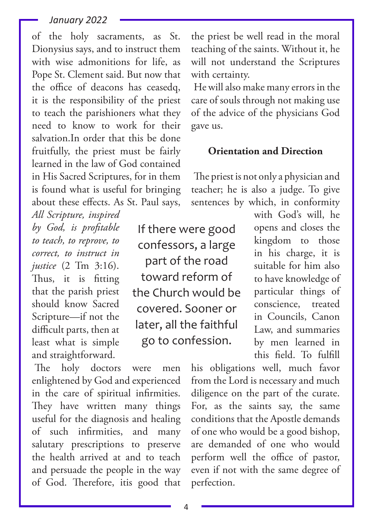of the holy sacraments, as St. Dionysius says, and to instruct them with wise admonitions for life, as Pope St. Clement said. But now that the office of deacons has ceasedq, it is the responsibility of the priest to teach the parishioners what they need to know to work for their salvation.In order that this be done fruitfully, the priest must be fairly learned in the law of God contained in His Sacred Scriptures, for in them is found what is useful for bringing about these effects. As St. Paul says,

*All Scripture, inspired by God, is profitable to teach, to reprove, to correct, to instruct in justice* (2 Tm 3:16). Thus, it is fitting that the parish priest should know Sacred Scripture—if not the difficult parts, then at least what is simple and straightforward.

The holy doctors were men enlightened by God and experienced in the care of spiritual infirmities. They have written many things useful for the diagnosis and healing of such infirmities, and many salutary prescriptions to preserve the health arrived at and to teach and persuade the people in the way of God. Therefore, itis good that

the priest be well read in the moral teaching of the saints. Without it, he will not understand the Scriptures with certainty.

He will also make many errors in the care of souls through not making use of the advice of the physicians God gave us.

#### **Orientation and Direction**

The priest is not only a physician and teacher; he is also a judge. To give sentences by which, in conformity

If there were good confessors, a large part of the road toward reform of the Church would be covered. Sooner or later, all the faithful go to confession.

with God's will, he opens and closes the kingdom to those in his charge, it is suitable for him also to have knowledge of particular things of conscience, treated in Councils, Canon Law, and summaries by men learned in this field. To fulfill

his obligations well, much favor from the Lord is necessary and much diligence on the part of the curate. For, as the saints say, the same conditions that the Apostle demands of one who would be a good bishop, are demanded of one who would perform well the office of pastor, even if not with the same degree of perfection.

4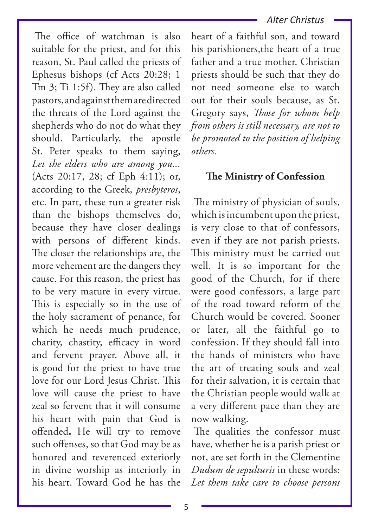The office of watchman is also suitable for the priest, and for this reason, St. Paul called the priests of Ephesus bishops (cf Acts 20:28; 1 Tm 3; Ti 1:5f). They are also called pastors, and against them are directed the threats of the Lord against the shepherds who do not do what they should. Particularly, the apostle St. Peter speaks to them saying, *Let the elders who are among you...*  (Acts 20:17, 28; cf Eph 4:11); or, according to the Greek, *presbyteros*, etc. In part, these run a greater risk than the bishops themselves do, because they have closer dealings with persons of different kinds. The closer the relationships are, the more vehement are the dangers they cause. For this reason, the priest has to be very mature in every virtue. This is especially so in the use of the holy sacrament of penance, for which he needs much prudence, charity, chastity, efficacy in word and fervent prayer. Above all, it is good for the priest to have true love for our Lord Jesus Christ. This love will cause the priest to have zeal so fervent that it will consume his heart with pain that God is offended**.** He will try to remove such offenses, so that God may be as honored and reverenced exteriorly in divine worship as interiorly in his heart. Toward God he has the

## *Alter Christus*

heart of a faithful son, and toward his parishioners,the heart of a true father and a true mother. Christian priests should be such that they do not need someone else to watch out for their souls because, as St. Gregory says, *Those for whom help from others is still necessary, are not to be promoted to the position of helping others.*

# **The Ministry of Confession**

The ministry of physician of souls, which is incumbent upon the priest, is very close to that of confessors, even if they are not parish priests. This ministry must be carried out well. It is so important for the good of the Church, for if there were good confessors, a large part of the road toward reform of the Church would be covered. Sooner or later, all the faithful go to confession. If they should fall into the hands of ministers who have the art of treating souls and zeal for their salvation, it is certain that the Christian people would walk at a very different pace than they are now walking.

The qualities the confessor must have, whether he is a parish priest or not, are set forth in the Clementine *Dudum de sepulturis* in these words: *Let them take care to choose persons*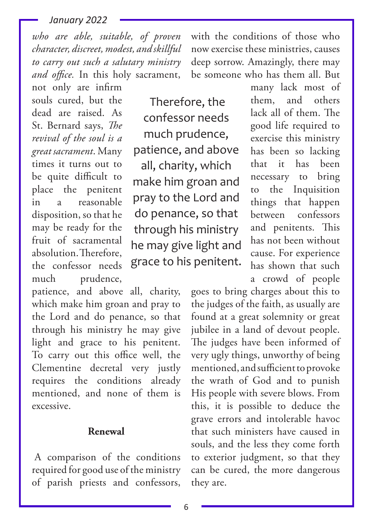*who are able, suitable, of proven character, discreet, modest, and skillful to carry out such a salutary ministry and office.* In this holy sacrament,

not only are infirm souls cured, but the dead are raised. As St. Bernard says, *The revival of the soul is a great sacrament*. Many times it turns out to be quite difficult to place the penitent in a reasonable disposition, so that he may be ready for the fruit of sacramental absolution. Therefore, the confessor needs much prudence,

patience, and above all, charity, which make him groan and pray to the Lord and do penance, so that through his ministry he may give light and grace to his penitent. To carry out this office well, the Clementine decretal very justly requires the conditions already mentioned, and none of them is excessive.

# **Renewal**

A comparison of the conditions required for good use of the ministry of parish priests and confessors,

with the conditions of those who now exercise these ministries, causes deep sorrow. Amazingly, there may be someone who has them all. But

Therefore, the confessor needs much prudence, patience, and above all, charity, which make him groan and pray to the Lord and do penance, so that through his ministry he may give light and grace to his penitent.

many lack most of them, and others lack all of them. The good life required to exercise this ministry has been so lacking that it has been necessary to bring to the Inquisition things that happen between confessors and penitents. This has not been without cause. For experience has shown that such a crowd of people

goes to bring charges about this to the judges of the faith, as usually are found at a great solemnity or great jubilee in a land of devout people. The judges have been informed of very ugly things, unworthy of being mentioned, and sufficient to provoke the wrath of God and to punish His people with severe blows. From this, it is possible to deduce the grave errors and intolerable havoc that such ministers have caused in souls, and the less they come forth to exterior judgment, so that they can be cured, the more dangerous they are.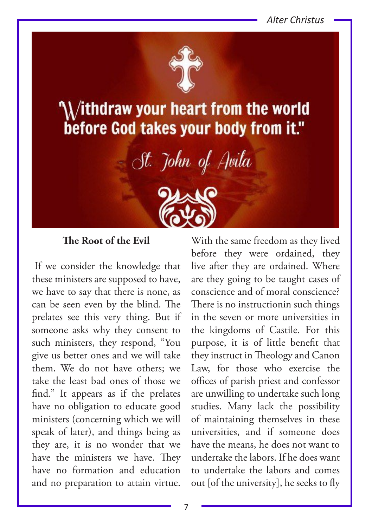*Alter Christus*



 $\lambda$ ithdraw your heart from the world before God takes your body from it."

- St. John of Avila



# **The Root of the Evil**

If we consider the knowledge that these ministers are supposed to have, we have to say that there is none, as can be seen even by the blind. The prelates see this very thing. But if someone asks why they consent to such ministers, they respond, "You give us better ones and we will take them. We do not have others; we take the least bad ones of those we find." It appears as if the prelates have no obligation to educate good ministers (concerning which we will speak of later), and things being as they are, it is no wonder that we have the ministers we have. They have no formation and education and no preparation to attain virtue.

With the same freedom as they lived before they were ordained, they live after they are ordained. Where are they going to be taught cases of conscience and of moral conscience? There is no instructionin such things in the seven or more universities in the kingdoms of Castile. For this purpose, it is of little benefit that they instruct in Theology and Canon Law, for those who exercise the offices of parish priest and confessor are unwilling to undertake such long studies. Many lack the possibility of maintaining themselves in these universities, and if someone does have the means, he does not want to undertake the labors. If he does want to undertake the labors and comes out [of the university], he seeks to fly